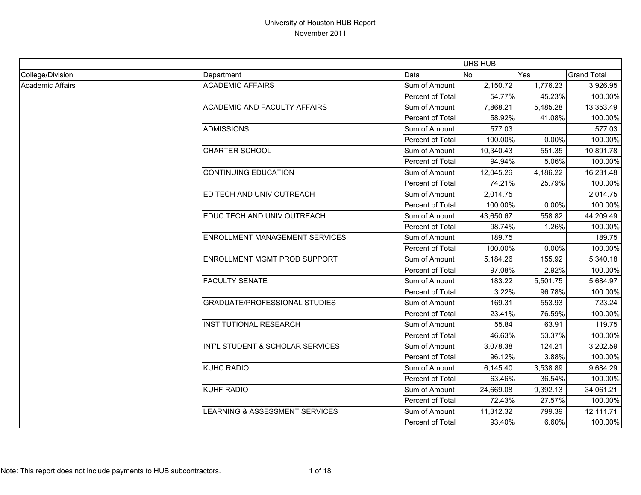|                  |                                       |                  | <b>UHS HUB</b> |          |                    |
|------------------|---------------------------------------|------------------|----------------|----------|--------------------|
| College/Division | Department                            | Data             | <b>No</b>      | Yes      | <b>Grand Total</b> |
| Academic Affairs | <b>ACADEMIC AFFAIRS</b>               | Sum of Amount    | 2,150.72       | 1,776.23 | 3,926.95           |
|                  |                                       | Percent of Total | 54.77%         | 45.23%   | 100.00%            |
|                  | <b>ACADEMIC AND FACULTY AFFAIRS</b>   | Sum of Amount    | 7,868.21       | 5,485.28 | 13,353.49          |
|                  |                                       | Percent of Total | 58.92%         | 41.08%   | 100.00%            |
|                  | <b>ADMISSIONS</b>                     | Sum of Amount    | 577.03         |          | 577.03             |
|                  |                                       | Percent of Total | 100.00%        | 0.00%    | 100.00%            |
|                  | <b>CHARTER SCHOOL</b>                 | Sum of Amount    | 10,340.43      | 551.35   | 10,891.78          |
|                  |                                       | Percent of Total | 94.94%         | 5.06%    | 100.00%            |
|                  | <b>CONTINUING EDUCATION</b>           | Sum of Amount    | 12,045.26      | 4,186.22 | 16,231.48          |
|                  |                                       | Percent of Total | 74.21%         | 25.79%   | 100.00%            |
|                  | ED TECH AND UNIV OUTREACH             | Sum of Amount    | 2,014.75       |          | 2,014.75           |
|                  |                                       | Percent of Total | 100.00%        | 0.00%    | 100.00%            |
|                  | EDUC TECH AND UNIV OUTREACH           | Sum of Amount    | 43,650.67      | 558.82   | 44,209.49          |
|                  |                                       | Percent of Total | 98.74%         | 1.26%    | 100.00%            |
|                  | <b>ENROLLMENT MANAGEMENT SERVICES</b> | Sum of Amount    | 189.75         |          | 189.75             |
|                  |                                       | Percent of Total | 100.00%        | 0.00%    | 100.00%            |
|                  | ENROLLMENT MGMT PROD SUPPORT          | Sum of Amount    | 5,184.26       | 155.92   | 5,340.18           |
|                  |                                       | Percent of Total | 97.08%         | 2.92%    | 100.00%            |
|                  | <b>FACULTY SENATE</b>                 | Sum of Amount    | 183.22         | 5,501.75 | 5,684.97           |
|                  |                                       | Percent of Total | 3.22%          | 96.78%   | 100.00%            |
|                  | <b>GRADUATE/PROFESSIONAL STUDIES</b>  | Sum of Amount    | 169.31         | 553.93   | 723.24             |
|                  |                                       | Percent of Total | 23.41%         | 76.59%   | 100.00%            |
|                  | <b>INSTITUTIONAL RESEARCH</b>         | Sum of Amount    | 55.84          | 63.91    | 119.75             |
|                  |                                       | Percent of Total | 46.63%         | 53.37%   | 100.00%            |
|                  | INT'L STUDENT & SCHOLAR SERVICES      | Sum of Amount    | 3,078.38       | 124.21   | 3,202.59           |
|                  |                                       | Percent of Total | 96.12%         | 3.88%    | 100.00%            |
|                  | <b>KUHC RADIO</b>                     | Sum of Amount    | 6,145.40       | 3,538.89 | 9,684.29           |
|                  |                                       | Percent of Total | 63.46%         | 36.54%   | 100.00%            |
|                  | KUHF RADIO                            | Sum of Amount    | 24,669.08      | 9,392.13 | 34,061.21          |
|                  |                                       | Percent of Total | 72.43%         | 27.57%   | 100.00%            |
|                  | LEARNING & ASSESSMENT SERVICES        | Sum of Amount    | 11,312.32      | 799.39   | 12,111.71          |
|                  |                                       | Percent of Total | 93.40%         | 6.60%    | 100.00%            |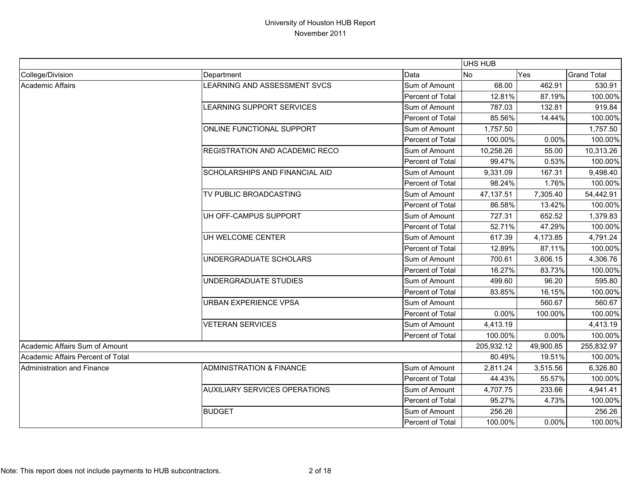|                                   |                                       |                         | UHS HUB    |           |                    |
|-----------------------------------|---------------------------------------|-------------------------|------------|-----------|--------------------|
| College/Division                  | Department                            | Data                    | <b>No</b>  | Yes       | <b>Grand Total</b> |
| Academic Affairs                  | LEARNING AND ASSESSMENT SVCS          | Sum of Amount           | 68.00      | 462.91    | 530.91             |
|                                   |                                       | Percent of Total        | 12.81%     | 87.19%    | 100.00%            |
|                                   | LEARNING SUPPORT SERVICES             | Sum of Amount           | 787.03     | 132.81    | 919.84             |
|                                   |                                       | Percent of Total        | 85.56%     | 14.44%    | 100.00%            |
|                                   | ONLINE FUNCTIONAL SUPPORT             | Sum of Amount           | 1,757.50   |           | 1,757.50           |
|                                   |                                       | Percent of Total        | 100.00%    | 0.00%     | 100.00%            |
|                                   | <b>REGISTRATION AND ACADEMIC RECO</b> | Sum of Amount           | 10,258.26  | 55.00     | 10,313.26          |
|                                   |                                       | Percent of Total        | 99.47%     | 0.53%     | 100.00%            |
|                                   | <b>SCHOLARSHIPS AND FINANCIAL AID</b> | Sum of Amount           | 9,331.09   | 167.31    | 9,498.40           |
|                                   |                                       | Percent of Total        | 98.24%     | 1.76%     | 100.00%            |
|                                   | TV PUBLIC BROADCASTING                | Sum of Amount           | 47,137.51  | 7,305.40  | 54,442.91          |
|                                   |                                       | Percent of Total        | 86.58%     | 13.42%    | 100.00%            |
|                                   | UH OFF-CAMPUS SUPPORT                 | Sum of Amount           | 727.31     | 652.52    | 1,379.83           |
|                                   |                                       | Percent of Total        | 52.71%     | 47.29%    | 100.00%            |
|                                   | UH WELCOME CENTER                     | Sum of Amount           | 617.39     | 4,173.85  | 4,791.24           |
|                                   |                                       | Percent of Total        | 12.89%     | 87.11%    | 100.00%            |
|                                   | UNDERGRADUATE SCHOLARS                | Sum of Amount           | 700.61     | 3,606.15  | 4,306.76           |
|                                   |                                       | Percent of Total        | 16.27%     | 83.73%    | 100.00%            |
|                                   | UNDERGRADUATE STUDIES                 | Sum of Amount           | 499.60     | 96.20     | 595.80             |
|                                   |                                       | Percent of Total        | 83.85%     | 16.15%    | 100.00%            |
|                                   | <b>URBAN EXPERIENCE VPSA</b>          | Sum of Amount           |            | 560.67    | 560.67             |
|                                   |                                       | Percent of Total        | 0.00%      | 100.00%   | 100.00%            |
|                                   | <b>VETERAN SERVICES</b>               | Sum of Amount           | 4,413.19   |           | 4,413.19           |
|                                   |                                       | Percent of Total        | 100.00%    | 0.00%     | 100.00%            |
| Academic Affairs Sum of Amount    |                                       |                         | 205,932.12 | 49,900.85 | 255,832.97         |
| Academic Affairs Percent of Total |                                       |                         | 80.49%     | 19.51%    | 100.00%            |
| Administration and Finance        | <b>ADMINISTRATION &amp; FINANCE</b>   | Sum of Amount           | 2,811.24   | 3,515.56  | 6,326.80           |
|                                   |                                       | Percent of Total        | 44.43%     | 55.57%    | 100.00%            |
|                                   | <b>AUXILIARY SERVICES OPERATIONS</b>  | Sum of Amount           | 4,707.75   | 233.66    | 4,941.41           |
|                                   |                                       | Percent of Total        | 95.27%     | 4.73%     | 100.00%            |
|                                   | <b>BUDGET</b>                         | Sum of Amount           | 256.26     |           | 256.26             |
|                                   |                                       | <b>Percent of Total</b> | 100.00%    | 0.00%     | 100.00%            |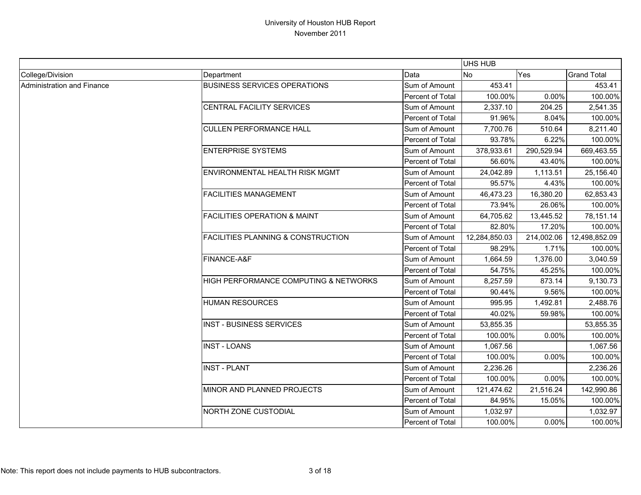|                            |                                               |                         | <b>UHS HUB</b> |            |                    |
|----------------------------|-----------------------------------------------|-------------------------|----------------|------------|--------------------|
| College/Division           | Department                                    | Data                    | <b>No</b>      | Yes        | <b>Grand Total</b> |
| Administration and Finance | <b>BUSINESS SERVICES OPERATIONS</b>           | Sum of Amount           | 453.41         |            | 453.41             |
|                            |                                               | Percent of Total        | 100.00%        | 0.00%      | 100.00%            |
|                            | CENTRAL FACILITY SERVICES                     | Sum of Amount           | 2,337.10       | 204.25     | 2,541.35           |
|                            |                                               | Percent of Total        | 91.96%         | 8.04%      | 100.00%            |
|                            | <b>CULLEN PERFORMANCE HALL</b>                | Sum of Amount           | 7,700.76       | 510.64     | 8,211.40           |
|                            |                                               | Percent of Total        | 93.78%         | 6.22%      | 100.00%            |
|                            | <b>ENTERPRISE SYSTEMS</b>                     | Sum of Amount           | 378,933.61     | 290,529.94 | 669,463.55         |
|                            |                                               | Percent of Total        | 56.60%         | 43.40%     | 100.00%            |
|                            | ENVIRONMENTAL HEALTH RISK MGMT                | Sum of Amount           | 24,042.89      | 1,113.51   | 25,156.40          |
|                            |                                               | Percent of Total        | 95.57%         | 4.43%      | 100.00%            |
|                            | <b>FACILITIES MANAGEMENT</b>                  | Sum of Amount           | 46,473.23      | 16,380.20  | 62,853.43          |
|                            |                                               | Percent of Total        | 73.94%         | 26.06%     | 100.00%            |
|                            | <b>FACILITIES OPERATION &amp; MAINT</b>       | Sum of Amount           | 64,705.62      | 13,445.52  | 78,151.14          |
|                            |                                               | Percent of Total        | 82.80%         | 17.20%     | 100.00%            |
|                            | <b>FACILITIES PLANNING &amp; CONSTRUCTION</b> | Sum of Amount           | 12,284,850.03  | 214,002.06 | 12,498,852.09      |
|                            |                                               | <b>Percent of Total</b> | 98.29%         | 1.71%      | 100.00%            |
|                            | FINANCE-A&F                                   | Sum of Amount           | 1,664.59       | 1,376.00   | 3,040.59           |
|                            |                                               | Percent of Total        | 54.75%         | 45.25%     | 100.00%            |
|                            | HIGH PERFORMANCE COMPUTING & NETWORKS         | Sum of Amount           | 8,257.59       | 873.14     | 9,130.73           |
|                            |                                               | Percent of Total        | 90.44%         | 9.56%      | 100.00%            |
|                            | <b>HUMAN RESOURCES</b>                        | Sum of Amount           | 995.95         | 1,492.81   | 2,488.76           |
|                            |                                               | Percent of Total        | 40.02%         | 59.98%     | 100.00%            |
|                            | <b>INST - BUSINESS SERVICES</b>               | Sum of Amount           | 53,855.35      |            | 53,855.35          |
|                            |                                               | Percent of Total        | 100.00%        | 0.00%      | 100.00%            |
|                            | <b>INST - LOANS</b>                           | Sum of Amount           | 1,067.56       |            | 1,067.56           |
|                            |                                               | Percent of Total        | 100.00%        | 0.00%      | 100.00%            |
|                            | <b>INST - PLANT</b>                           | Sum of Amount           | 2,236.26       |            | 2,236.26           |
|                            |                                               | Percent of Total        | 100.00%        | 0.00%      | 100.00%            |
|                            | MINOR AND PLANNED PROJECTS                    | Sum of Amount           | 121,474.62     | 21,516.24  | 142,990.86         |
|                            |                                               | Percent of Total        | 84.95%         | 15.05%     | 100.00%            |
|                            | NORTH ZONE CUSTODIAL                          | Sum of Amount           | 1,032.97       |            | 1,032.97           |
|                            |                                               | Percent of Total        | 100.00%        | 0.00%      | 100.00%            |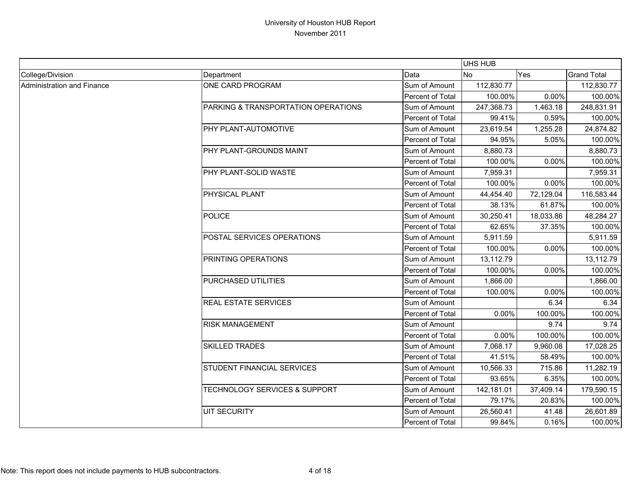|                            |                                          |                  | UHS HUB    |           |                    |
|----------------------------|------------------------------------------|------------------|------------|-----------|--------------------|
| College/Division           | Department                               | Data             | <b>No</b>  | Yes       | <b>Grand Total</b> |
| Administration and Finance | ONE CARD PROGRAM                         | Sum of Amount    | 112,830.77 |           | 112,830.77         |
|                            |                                          | Percent of Total | 100.00%    | 0.00%     | 100.00%            |
|                            | PARKING & TRANSPORTATION OPERATIONS      | Sum of Amount    | 247,368.73 | 1,463.18  | 248,831.91         |
|                            |                                          | Percent of Total | 99.41%     | 0.59%     | 100.00%            |
|                            | PHY PLANT-AUTOMOTIVE                     | Sum of Amount    | 23,619.54  | 1,255.28  | 24,874.82          |
|                            |                                          | Percent of Total | 94.95%     | 5.05%     | 100.00%            |
|                            | PHY PLANT-GROUNDS MAINT                  | Sum of Amount    | 8,880.73   |           | 8,880.73           |
|                            |                                          | Percent of Total | 100.00%    | 0.00%     | 100.00%            |
|                            | PHY PLANT-SOLID WASTE                    | Sum of Amount    | 7,959.31   |           | 7,959.31           |
|                            |                                          | Percent of Total | 100.00%    | 0.00%     | 100.00%            |
|                            | PHYSICAL PLANT                           | Sum of Amount    | 44,454.40  | 72,129.04 | 116,583.44         |
|                            |                                          | Percent of Total | 38.13%     | 61.87%    | 100.00%            |
|                            | <b>POLICE</b>                            | Sum of Amount    | 30,250.41  | 18,033.86 | 48,284.27          |
|                            |                                          | Percent of Total | 62.65%     | 37.35%    | 100.00%            |
|                            | POSTAL SERVICES OPERATIONS               | Sum of Amount    | 5,911.59   |           | 5,911.59           |
|                            |                                          | Percent of Total | 100.00%    | 0.00%     | 100.00%            |
|                            | <b>PRINTING OPERATIONS</b>               | Sum of Amount    | 13,112.79  |           | 13,112.79          |
|                            |                                          | Percent of Total | 100.00%    | 0.00%     | 100.00%            |
|                            | PURCHASED UTILITIES                      | Sum of Amount    | 1,866.00   |           | 1,866.00           |
|                            |                                          | Percent of Total | 100.00%    | 0.00%     | 100.00%            |
|                            | <b>REAL ESTATE SERVICES</b>              | Sum of Amount    |            | 6.34      | 6.34               |
|                            |                                          | Percent of Total | 0.00%      | 100.00%   | 100.00%            |
|                            | <b>RISK MANAGEMENT</b>                   | Sum of Amount    |            | 9.74      | 9.74               |
|                            |                                          | Percent of Total | 0.00%      | 100.00%   | 100.00%            |
|                            | <b>SKILLED TRADES</b>                    | Sum of Amount    | 7,068.17   | 9,960.08  | 17,028.25          |
|                            |                                          | Percent of Total | 41.51%     | 58.49%    | 100.00%            |
|                            | STUDENT FINANCIAL SERVICES               | Sum of Amount    | 10,566.33  | 715.86    | 11,282.19          |
|                            |                                          | Percent of Total | 93.65%     | 6.35%     | 100.00%            |
|                            | <b>TECHNOLOGY SERVICES &amp; SUPPORT</b> | Sum of Amount    | 142,181.01 | 37,409.14 | 179,590.15         |
|                            |                                          | Percent of Total | 79.17%     | 20.83%    | 100.00%            |
|                            | <b>UIT SECURITY</b>                      | Sum of Amount    | 26,560.41  | 41.48     | 26,601.89          |
|                            |                                          | Percent of Total | 99.84%     | 0.16%     | 100.00%            |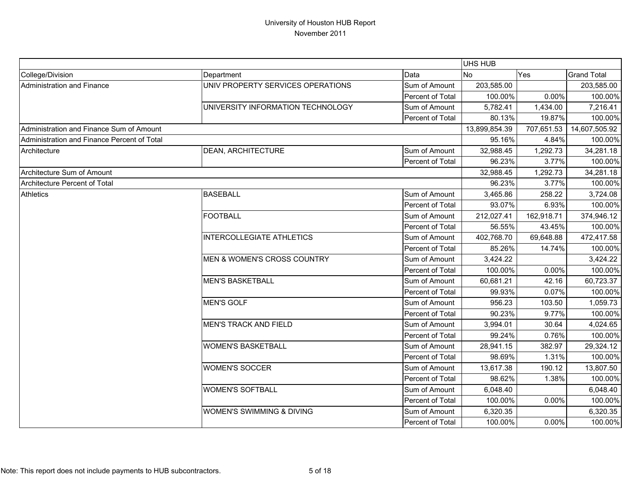|                                             |                                   |                  | UHS HUB       |            |                    |
|---------------------------------------------|-----------------------------------|------------------|---------------|------------|--------------------|
| College/Division                            | Department                        | Data             | <b>No</b>     | Yes        | <b>Grand Total</b> |
| Administration and Finance                  | UNIV PROPERTY SERVICES OPERATIONS | Sum of Amount    | 203,585.00    |            | 203,585.00         |
|                                             |                                   | Percent of Total | 100.00%       | 0.00%      | 100.00%            |
|                                             | UNIVERSITY INFORMATION TECHNOLOGY | Sum of Amount    | 5,782.41      | 1,434.00   | 7,216.41           |
|                                             |                                   | Percent of Total | 80.13%        | 19.87%     | 100.00%            |
| Administration and Finance Sum of Amount    |                                   |                  | 13,899,854.39 | 707,651.53 | 14,607,505.92      |
| Administration and Finance Percent of Total |                                   |                  | 95.16%        | 4.84%      | 100.00%            |
| Architecture                                | DEAN, ARCHITECTURE                | Sum of Amount    | 32,988.45     | 1,292.73   | 34,281.18          |
|                                             |                                   | Percent of Total | 96.23%        | 3.77%      | 100.00%            |
| Architecture Sum of Amount                  |                                   |                  | 32,988.45     | 1,292.73   | 34,281.18          |
| Architecture Percent of Total               |                                   |                  | 96.23%        | 3.77%      | 100.00%            |
| <b>Athletics</b>                            | <b>BASEBALL</b>                   | Sum of Amount    | 3,465.86      | 258.22     | 3,724.08           |
|                                             |                                   | Percent of Total | 93.07%        | 6.93%      | 100.00%            |
|                                             | <b>FOOTBALL</b>                   | Sum of Amount    | 212,027.41    | 162,918.71 | 374,946.12         |
|                                             |                                   | Percent of Total | 56.55%        | 43.45%     | 100.00%            |
|                                             | <b>INTERCOLLEGIATE ATHLETICS</b>  | Sum of Amount    | 402,768.70    | 69,648.88  | 472,417.58         |
|                                             |                                   | Percent of Total | 85.26%        | 14.74%     | 100.00%            |
|                                             | MEN & WOMEN'S CROSS COUNTRY       | Sum of Amount    | 3,424.22      |            | 3,424.22           |
|                                             |                                   | Percent of Total | 100.00%       | 0.00%      | 100.00%            |
|                                             | <b>MEN'S BASKETBALL</b>           | Sum of Amount    | 60,681.21     | 42.16      | 60,723.37          |
|                                             |                                   | Percent of Total | 99.93%        | 0.07%      | 100.00%            |
|                                             | <b>MEN'S GOLF</b>                 | Sum of Amount    | 956.23        | 103.50     | 1,059.73           |
|                                             |                                   | Percent of Total | 90.23%        | 9.77%      | 100.00%            |
|                                             | <b>MEN'S TRACK AND FIELD</b>      | Sum of Amount    | 3,994.01      | 30.64      | 4,024.65           |
|                                             |                                   | Percent of Total | 99.24%        | 0.76%      | 100.00%            |
|                                             | <b>WOMEN'S BASKETBALL</b>         | Sum of Amount    | 28,941.15     | 382.97     | 29,324.12          |
|                                             |                                   | Percent of Total | 98.69%        | 1.31%      | 100.00%            |
|                                             | <b>WOMEN'S SOCCER</b>             | Sum of Amount    | 13,617.38     | 190.12     | 13,807.50          |
|                                             |                                   | Percent of Total | 98.62%        | 1.38%      | 100.00%            |
|                                             | <b>WOMEN'S SOFTBALL</b>           | Sum of Amount    | 6,048.40      |            | 6,048.40           |
|                                             |                                   | Percent of Total | 100.00%       | 0.00%      | 100.00%            |
|                                             | WOMEN'S SWIMMING & DIVING         | Sum of Amount    | 6,320.35      |            | 6,320.35           |
|                                             |                                   | Percent of Total | 100.00%       | 0.00%      | 100.00%            |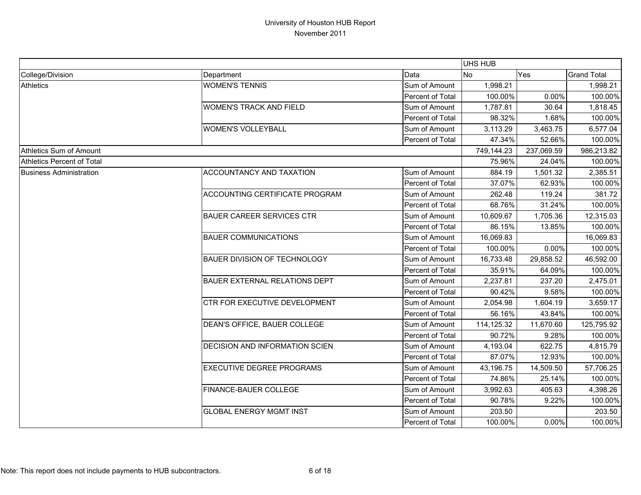|                                |                                       |                  | UHS HUB    |            |                    |
|--------------------------------|---------------------------------------|------------------|------------|------------|--------------------|
| College/Division               | Department                            | Data             | No         | Yes        | <b>Grand Total</b> |
| <b>Athletics</b>               | <b>WOMEN'S TENNIS</b>                 | Sum of Amount    | 1,998.21   |            | 1,998.21           |
|                                |                                       | Percent of Total | 100.00%    | 0.00%      | 100.00%            |
|                                | <b>WOMEN'S TRACK AND FIELD</b>        | Sum of Amount    | 1,787.81   | 30.64      | 1,818.45           |
|                                |                                       | Percent of Total | 98.32%     | 1.68%      | 100.00%            |
|                                | <b>WOMEN'S VOLLEYBALL</b>             | Sum of Amount    | 3,113.29   | 3,463.75   | 6,577.04           |
|                                |                                       | Percent of Total | 47.34%     | 52.66%     | 100.00%            |
| Athletics Sum of Amount        |                                       |                  | 749,144.23 | 237,069.59 | 986,213.82         |
| Athletics Percent of Total     |                                       |                  | 75.96%     | 24.04%     | 100.00%            |
| <b>Business Administration</b> | ACCOUNTANCY AND TAXATION              | Sum of Amount    | 884.19     | 1,501.32   | 2,385.51           |
|                                |                                       | Percent of Total | 37.07%     | 62.93%     | 100.00%            |
|                                | ACCOUNTING CERTIFICATE PROGRAM        | Sum of Amount    | 262.48     | 119.24     | 381.72             |
|                                |                                       | Percent of Total | 68.76%     | 31.24%     | 100.00%            |
|                                | <b>BAUER CAREER SERVICES CTR</b>      | Sum of Amount    | 10,609.67  | 1,705.36   | 12,315.03          |
|                                |                                       | Percent of Total | 86.15%     | 13.85%     | 100.00%            |
|                                | <b>BAUER COMMUNICATIONS</b>           | Sum of Amount    | 16,069.83  |            | 16,069.83          |
|                                |                                       | Percent of Total | 100.00%    | 0.00%      | 100.00%            |
|                                | <b>BAUER DIVISION OF TECHNOLOGY</b>   | Sum of Amount    | 16,733.48  | 29,858.52  | 46,592.00          |
|                                |                                       | Percent of Total | 35.91%     | 64.09%     | 100.00%            |
|                                | <b>BAUER EXTERNAL RELATIONS DEPT</b>  | Sum of Amount    | 2,237.81   | 237.20     | 2,475.01           |
|                                |                                       | Percent of Total | 90.42%     | 9.58%      | 100.00%            |
|                                | CTR FOR EXECUTIVE DEVELOPMENT         | Sum of Amount    | 2,054.98   | 1,604.19   | 3,659.17           |
|                                |                                       | Percent of Total | 56.16%     | 43.84%     | 100.00%            |
|                                | DEAN'S OFFICE, BAUER COLLEGE          | Sum of Amount    | 114,125.32 | 11,670.60  | 125,795.92         |
|                                |                                       | Percent of Total | 90.72%     | 9.28%      | 100.00%            |
|                                | <b>DECISION AND INFORMATION SCIEN</b> | Sum of Amount    | 4,193.04   | 622.75     | 4,815.79           |
|                                |                                       | Percent of Total | 87.07%     | 12.93%     | 100.00%            |
|                                | <b>EXECUTIVE DEGREE PROGRAMS</b>      | Sum of Amount    | 43,196.75  | 14,509.50  | 57,706.25          |
|                                |                                       | Percent of Total | 74.86%     | 25.14%     | 100.00%            |
|                                | FINANCE-BAUER COLLEGE                 | Sum of Amount    | 3,992.63   | 405.63     | 4,398.26           |
|                                |                                       | Percent of Total | 90.78%     | 9.22%      | 100.00%            |
|                                | <b>GLOBAL ENERGY MGMT INST</b>        | Sum of Amount    | 203.50     |            | 203.50             |
|                                |                                       | Percent of Total | 100.00%    | 0.00%      | 100.00%            |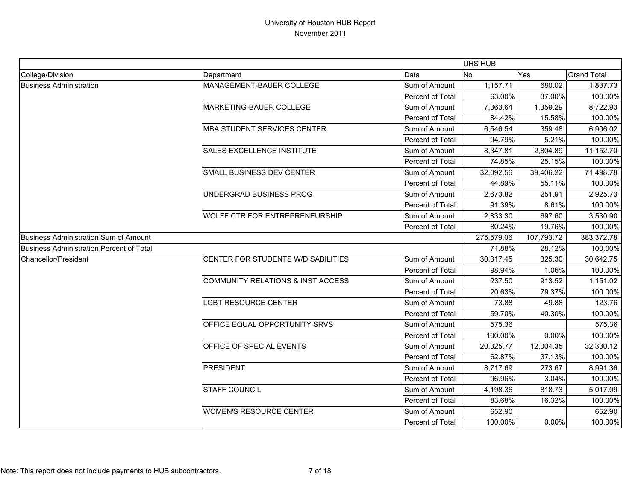|                                          |                                              |                  | UHS HUB    |            |                    |
|------------------------------------------|----------------------------------------------|------------------|------------|------------|--------------------|
| College/Division                         | Department                                   | Data             | <b>No</b>  | Yes        | <b>Grand Total</b> |
| <b>Business Administration</b>           | MANAGEMENT-BAUER COLLEGE                     | Sum of Amount    | 1,157.71   | 680.02     | 1,837.73           |
|                                          |                                              | Percent of Total | 63.00%     | 37.00%     | 100.00%            |
|                                          | MARKETING-BAUER COLLEGE                      | Sum of Amount    | 7,363.64   | 1,359.29   | 8,722.93           |
|                                          |                                              | Percent of Total | 84.42%     | 15.58%     | 100.00%            |
|                                          | <b>MBA STUDENT SERVICES CENTER</b>           | Sum of Amount    | 6,546.54   | 359.48     | 6,906.02           |
|                                          |                                              | Percent of Total | 94.79%     | 5.21%      | 100.00%            |
|                                          | <b>SALES EXCELLENCE INSTITUTE</b>            | Sum of Amount    | 8,347.81   | 2,804.89   | 11,152.70          |
|                                          |                                              | Percent of Total | 74.85%     | 25.15%     | 100.00%            |
|                                          | SMALL BUSINESS DEV CENTER                    | Sum of Amount    | 32,092.56  | 39,406.22  | 71,498.78          |
|                                          |                                              | Percent of Total | 44.89%     | 55.11%     | 100.00%            |
|                                          | UNDERGRAD BUSINESS PROG                      | Sum of Amount    | 2,673.82   | 251.91     | 2,925.73           |
|                                          |                                              | Percent of Total | 91.39%     | 8.61%      | 100.00%            |
|                                          | <b>WOLFF CTR FOR ENTREPRENEURSHIP</b>        | Sum of Amount    | 2,833.30   | 697.60     | 3,530.90           |
|                                          |                                              | Percent of Total | 80.24%     | 19.76%     | 100.00%            |
| Business Administration Sum of Amount    |                                              |                  | 275,579.06 | 107,793.72 | 383,372.78         |
| Business Administration Percent of Total |                                              |                  | 71.88%     | 28.12%     | 100.00%            |
| Chancellor/President                     | CENTER FOR STUDENTS W/DISABILITIES           | Sum of Amount    | 30,317.45  | 325.30     | 30,642.75          |
|                                          |                                              | Percent of Total | 98.94%     | 1.06%      | 100.00%            |
|                                          | <b>COMMUNITY RELATIONS &amp; INST ACCESS</b> | Sum of Amount    | 237.50     | 913.52     | 1,151.02           |
|                                          |                                              | Percent of Total | 20.63%     | 79.37%     | 100.00%            |
|                                          | <b>LGBT RESOURCE CENTER</b>                  | Sum of Amount    | 73.88      | 49.88      | 123.76             |
|                                          |                                              | Percent of Total | 59.70%     | 40.30%     | 100.00%            |
|                                          | OFFICE EQUAL OPPORTUNITY SRVS                | Sum of Amount    | 575.36     |            | 575.36             |
|                                          |                                              | Percent of Total | 100.00%    | 0.00%      | 100.00%            |
|                                          | OFFICE OF SPECIAL EVENTS                     | Sum of Amount    | 20,325.77  | 12,004.35  | 32,330.12          |
|                                          |                                              | Percent of Total | 62.87%     | 37.13%     | 100.00%            |
|                                          | PRESIDENT                                    | Sum of Amount    | 8.717.69   | 273.67     | 8,991.36           |
|                                          |                                              | Percent of Total | 96.96%     | 3.04%      | 100.00%            |
|                                          | <b>STAFF COUNCIL</b>                         | Sum of Amount    | 4,198.36   | 818.73     | 5,017.09           |
|                                          |                                              | Percent of Total | 83.68%     | 16.32%     | 100.00%            |
|                                          | <b>WOMEN'S RESOURCE CENTER</b>               | Sum of Amount    | 652.90     |            | 652.90             |
|                                          |                                              | Percent of Total | 100.00%    | 0.00%      | 100.00%            |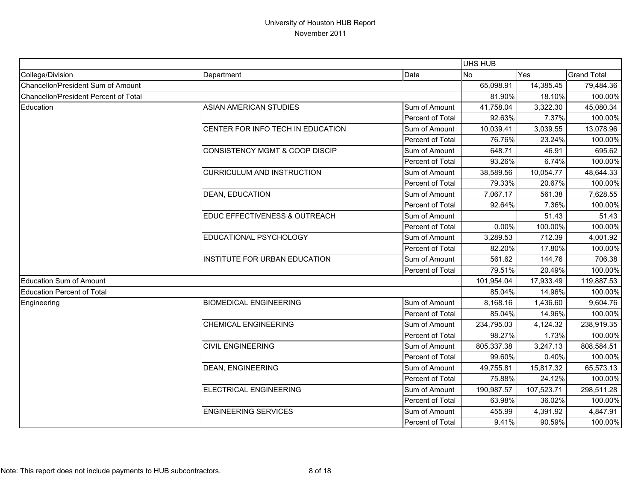|                                       |                                           |                  | <b>UHS HUB</b> |            |                    |
|---------------------------------------|-------------------------------------------|------------------|----------------|------------|--------------------|
| College/Division                      | Department                                | Data             | No             | Yes        | <b>Grand Total</b> |
| Chancellor/President Sum of Amount    |                                           |                  | 65,098.91      | 14,385.45  | 79,484.36          |
| Chancellor/President Percent of Total |                                           |                  | 81.90%         | 18.10%     | 100.00%            |
| Education                             | ASIAN AMERICAN STUDIES                    | Sum of Amount    | 41,758.04      | 3,322.30   | 45,080.34          |
|                                       |                                           | Percent of Total | 92.63%         | 7.37%      | 100.00%            |
|                                       | CENTER FOR INFO TECH IN EDUCATION         | Sum of Amount    | 10,039.41      | 3,039.55   | 13,078.96          |
|                                       |                                           | Percent of Total | 76.76%         | 23.24%     | 100.00%            |
|                                       | <b>CONSISTENCY MGMT &amp; COOP DISCIP</b> | Sum of Amount    | 648.71         | 46.91      | 695.62             |
|                                       |                                           | Percent of Total | 93.26%         | 6.74%      | 100.00%            |
|                                       | <b>CURRICULUM AND INSTRUCTION</b>         | Sum of Amount    | 38,589.56      | 10,054.77  | 48,644.33          |
|                                       |                                           | Percent of Total | 79.33%         | 20.67%     | 100.00%            |
|                                       | <b>DEAN, EDUCATION</b>                    | Sum of Amount    | 7,067.17       | 561.38     | 7,628.55           |
|                                       |                                           | Percent of Total | 92.64%         | 7.36%      | 100.00%            |
|                                       | <b>EDUC EFFECTIVENESS &amp; OUTREACH</b>  | Sum of Amount    |                | 51.43      | 51.43              |
|                                       |                                           | Percent of Total | 0.00%          | 100.00%    | 100.00%            |
|                                       | EDUCATIONAL PSYCHOLOGY                    | Sum of Amount    | 3,289.53       | 712.39     | 4,001.92           |
|                                       |                                           | Percent of Total | 82.20%         | 17.80%     | 100.00%            |
|                                       | INSTITUTE FOR URBAN EDUCATION             | Sum of Amount    | 561.62         | 144.76     | 706.38             |
|                                       |                                           | Percent of Total | 79.51%         | 20.49%     | 100.00%            |
| Education Sum of Amount               |                                           |                  | 101,954.04     | 17,933.49  | 119,887.53         |
| <b>Education Percent of Total</b>     |                                           |                  | 85.04%         | 14.96%     | 100.00%            |
| Engineering                           | <b>BIOMEDICAL ENGINEERING</b>             | Sum of Amount    | 8,168.16       | 1,436.60   | 9,604.76           |
|                                       |                                           | Percent of Total | 85.04%         | 14.96%     | 100.00%            |
|                                       | <b>CHEMICAL ENGINEERING</b>               | Sum of Amount    | 234,795.03     | 4,124.32   | 238,919.35         |
|                                       |                                           | Percent of Total | 98.27%         | 1.73%      | 100.00%            |
|                                       | <b>CIVIL ENGINEERING</b>                  | Sum of Amount    | 805,337.38     | 3,247.13   | 808,584.51         |
|                                       |                                           | Percent of Total | 99.60%         | 0.40%      | 100.00%            |
|                                       | <b>DEAN, ENGINEERING</b>                  | Sum of Amount    | 49,755.81      | 15,817.32  | 65,573.13          |
|                                       |                                           | Percent of Total | 75.88%         | 24.12%     | 100.00%            |
|                                       | ELECTRICAL ENGINEERING                    | Sum of Amount    | 190,987.57     | 107,523.71 | 298,511.28         |
|                                       |                                           | Percent of Total | 63.98%         | 36.02%     | 100.00%            |
|                                       | <b>ENGINEERING SERVICES</b>               | Sum of Amount    | 455.99         | 4,391.92   | 4,847.91           |
|                                       |                                           | Percent of Total | 9.41%          | 90.59%     | 100.00%            |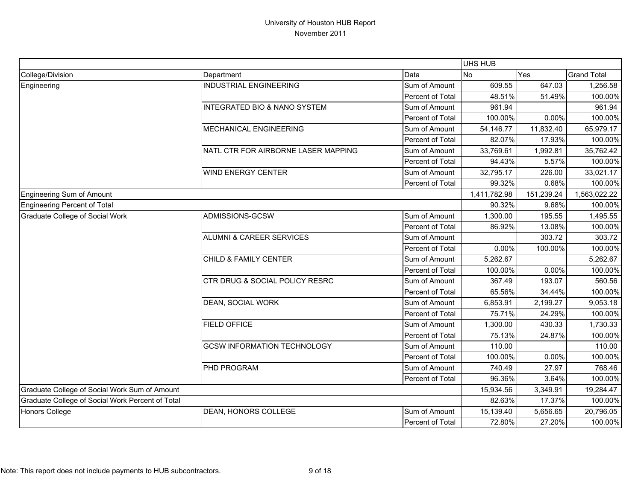|                                                  |                                         |                  | UHS HUB      |            |                    |
|--------------------------------------------------|-----------------------------------------|------------------|--------------|------------|--------------------|
| College/Division                                 | Department                              | Data             | <b>No</b>    | Yes        | <b>Grand Total</b> |
| Engineering                                      | <b>INDUSTRIAL ENGINEERING</b>           | Sum of Amount    | 609.55       | 647.03     | 1,256.58           |
|                                                  |                                         | Percent of Total | 48.51%       | 51.49%     | 100.00%            |
|                                                  | <b>INTEGRATED BIO &amp; NANO SYSTEM</b> | Sum of Amount    | 961.94       |            | 961.94             |
|                                                  |                                         | Percent of Total | 100.00%      | 0.00%      | 100.00%            |
|                                                  | MECHANICAL ENGINEERING                  | Sum of Amount    | 54,146.77    | 11,832.40  | 65,979.17          |
|                                                  |                                         | Percent of Total | 82.07%       | 17.93%     | 100.00%            |
|                                                  | NATL CTR FOR AIRBORNE LASER MAPPING     | Sum of Amount    | 33,769.61    | 1,992.81   | 35,762.42          |
|                                                  |                                         | Percent of Total | 94.43%       | 5.57%      | 100.00%            |
|                                                  | <b>WIND ENERGY CENTER</b>               | Sum of Amount    | 32,795.17    | 226.00     | 33,021.17          |
|                                                  |                                         | Percent of Total | 99.32%       | 0.68%      | 100.00%            |
| <b>Engineering Sum of Amount</b>                 |                                         |                  | 1,411,782.98 | 151,239.24 | 1,563,022.22       |
| <b>Engineering Percent of Total</b>              |                                         |                  | 90.32%       | 9.68%      | 100.00%            |
| <b>Graduate College of Social Work</b>           | ADMISSIONS-GCSW                         | Sum of Amount    | 1,300.00     | 195.55     | 1,495.55           |
|                                                  |                                         | Percent of Total | 86.92%       | 13.08%     | 100.00%            |
|                                                  | <b>ALUMNI &amp; CAREER SERVICES</b>     | Sum of Amount    |              | 303.72     | 303.72             |
|                                                  |                                         | Percent of Total | 0.00%        | 100.00%    | 100.00%            |
|                                                  | CHILD & FAMILY CENTER                   | Sum of Amount    | 5,262.67     |            | 5,262.67           |
|                                                  |                                         | Percent of Total | 100.00%      | 0.00%      | 100.00%            |
|                                                  | CTR DRUG & SOCIAL POLICY RESRC          | Sum of Amount    | 367.49       | 193.07     | 560.56             |
|                                                  |                                         | Percent of Total | 65.56%       | 34.44%     | 100.00%            |
|                                                  | DEAN, SOCIAL WORK                       | Sum of Amount    | 6,853.91     | 2,199.27   | 9,053.18           |
|                                                  |                                         | Percent of Total | 75.71%       | 24.29%     | 100.00%            |
|                                                  | <b>FIELD OFFICE</b>                     | Sum of Amount    | 1,300.00     | 430.33     | 1,730.33           |
|                                                  |                                         | Percent of Total | 75.13%       | 24.87%     | 100.00%            |
|                                                  | <b>GCSW INFORMATION TECHNOLOGY</b>      | Sum of Amount    | 110.00       |            | 110.00             |
|                                                  |                                         | Percent of Total | 100.00%      | 0.00%      | 100.00%            |
|                                                  | PHD PROGRAM                             | Sum of Amount    | 740.49       | 27.97      | 768.46             |
|                                                  |                                         | Percent of Total | 96.36%       | 3.64%      | 100.00%            |
| Graduate College of Social Work Sum of Amount    |                                         |                  | 15,934.56    | 3,349.91   | 19,284.47          |
| Graduate College of Social Work Percent of Total |                                         |                  | 82.63%       | 17.37%     | 100.00%            |
| <b>Honors College</b>                            | DEAN, HONORS COLLEGE                    | Sum of Amount    | 15,139.40    | 5,656.65   | 20,796.05          |
|                                                  |                                         | Percent of Total | 72.80%       | 27.20%     | 100.00%            |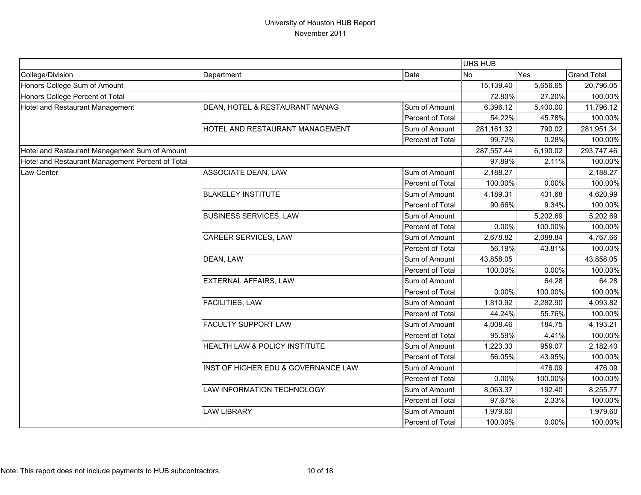|                                                  |                                     |                  | <b>UHS HUB</b> |          |                    |
|--------------------------------------------------|-------------------------------------|------------------|----------------|----------|--------------------|
| College/Division                                 | Department                          | Data             | <b>No</b>      | Yes      | <b>Grand Total</b> |
| Honors College Sum of Amount                     |                                     |                  | 15,139.40      | 5,656.65 | 20,796.05          |
| Honors College Percent of Total                  |                                     |                  | 72.80%         | 27.20%   | 100.00%            |
| Hotel and Restaurant Management                  | DEAN, HOTEL & RESTAURANT MANAG      | Sum of Amount    | 6,396.12       | 5,400.00 | 11,796.12          |
|                                                  |                                     | Percent of Total | 54.22%         | 45.78%   | 100.00%            |
|                                                  | HOTEL AND RESTAURANT MANAGEMENT     | Sum of Amount    | 281,161.32     | 790.02   | 281,951.34         |
|                                                  |                                     | Percent of Total | 99.72%         | 0.28%    | 100.00%            |
| Hotel and Restaurant Management Sum of Amount    |                                     |                  | 287,557.44     | 6,190.02 | 293,747.46         |
| Hotel and Restaurant Management Percent of Total |                                     |                  | 97.89%         | 2.11%    | 100.00%            |
| Law Center                                       | ASSOCIATE DEAN, LAW                 | Sum of Amount    | 2,188.27       |          | 2,188.27           |
|                                                  |                                     | Percent of Total | 100.00%        | 0.00%    | 100.00%            |
|                                                  | <b>BLAKELEY INSTITUTE</b>           | Sum of Amount    | 4,189.31       | 431.68   | 4,620.99           |
|                                                  |                                     | Percent of Total | 90.66%         | 9.34%    | 100.00%            |
|                                                  | <b>BUSINESS SERVICES, LAW</b>       | Sum of Amount    |                | 5,202.69 | 5,202.69           |
|                                                  |                                     | Percent of Total | 0.00%          | 100.00%  | 100.00%            |
|                                                  | CAREER SERVICES, LAW                | Sum of Amount    | 2,678.82       | 2,088.84 | 4,767.66           |
|                                                  |                                     | Percent of Total | 56.19%         | 43.81%   | 100.00%            |
|                                                  | DEAN, LAW                           | Sum of Amount    | 43,858.05      |          | 43,858.05          |
|                                                  |                                     | Percent of Total | 100.00%        | 0.00%    | 100.00%            |
|                                                  | EXTERNAL AFFAIRS, LAW               | Sum of Amount    |                | 64.28    | 64.28              |
|                                                  |                                     | Percent of Total | 0.00%          | 100.00%  | 100.00%            |
|                                                  | <b>FACILITIES, LAW</b>              | Sum of Amount    | 1,810.92       | 2,282.90 | 4,093.82           |
|                                                  |                                     | Percent of Total | 44.24%         | 55.76%   | 100.00%            |
|                                                  | <b>FACULTY SUPPORT LAW</b>          | Sum of Amount    | 4,008.46       | 184.75   | 4,193.21           |
|                                                  |                                     | Percent of Total | 95.59%         | 4.41%    | 100.00%            |
|                                                  | HEALTH LAW & POLICY INSTITUTE       | Sum of Amount    | 1,223.33       | 959.07   | 2,182.40           |
|                                                  |                                     | Percent of Total | 56.05%         | 43.95%   | 100.00%            |
|                                                  | INST OF HIGHER EDU & GOVERNANCE LAW | Sum of Amount    |                | 476.09   | 476.09             |
|                                                  |                                     | Percent of Total | 0.00%          | 100.00%  | 100.00%            |
|                                                  | LAW INFORMATION TECHNOLOGY          | Sum of Amount    | 8,063.37       | 192.40   | 8,255.77           |
|                                                  |                                     | Percent of Total | 97.67%         | 2.33%    | 100.00%            |
|                                                  | <b>LAW LIBRARY</b>                  | Sum of Amount    | 1,979.60       |          | 1,979.60           |
|                                                  |                                     | Percent of Total | 100.00%        | 0.00%    | 100.00%            |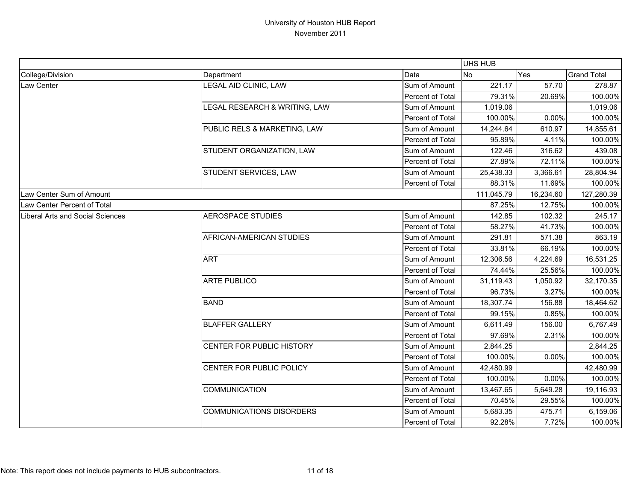|                                  |                                 |                  | <b>UHS HUB</b> |           |                    |
|----------------------------------|---------------------------------|------------------|----------------|-----------|--------------------|
| College/Division                 | Department                      | Data             | <b>INo</b>     | Yes       | <b>Grand Total</b> |
| Law Center                       | LEGAL AID CLINIC, LAW           | Sum of Amount    | 221.17         | 57.70     | 278.87             |
|                                  |                                 | Percent of Total | 79.31%         | 20.69%    | 100.00%            |
|                                  | LEGAL RESEARCH & WRITING, LAW   | Sum of Amount    | 1,019.06       |           | 1,019.06           |
|                                  |                                 | Percent of Total | 100.00%        | 0.00%     | 100.00%            |
|                                  | PUBLIC RELS & MARKETING, LAW    | Sum of Amount    | 14,244.64      | 610.97    | 14,855.61          |
|                                  |                                 | Percent of Total | 95.89%         | 4.11%     | 100.00%            |
|                                  | STUDENT ORGANIZATION, LAW       | Sum of Amount    | 122.46         | 316.62    | 439.08             |
|                                  |                                 | Percent of Total | 27.89%         | 72.11%    | 100.00%            |
|                                  | STUDENT SERVICES, LAW           | Sum of Amount    | 25,438.33      | 3,366.61  | 28,804.94          |
|                                  |                                 | Percent of Total | 88.31%         | 11.69%    | 100.00%            |
| Law Center Sum of Amount         |                                 |                  | 111,045.79     | 16,234.60 | 127,280.39         |
| Law Center Percent of Total      |                                 |                  | 87.25%         | 12.75%    | 100.00%            |
| Liberal Arts and Social Sciences | <b>AEROSPACE STUDIES</b>        | Sum of Amount    | 142.85         | 102.32    | 245.17             |
|                                  |                                 | Percent of Total | 58.27%         | 41.73%    | 100.00%            |
|                                  | AFRICAN-AMERICAN STUDIES        | Sum of Amount    | 291.81         | 571.38    | 863.19             |
|                                  |                                 | Percent of Total | 33.81%         | 66.19%    | 100.00%            |
|                                  | <b>ART</b>                      | Sum of Amount    | 12,306.56      | 4,224.69  | 16,531.25          |
|                                  |                                 | Percent of Total | 74.44%         | 25.56%    | 100.00%            |
|                                  | <b>ARTE PUBLICO</b>             | Sum of Amount    | 31,119.43      | 1,050.92  | 32,170.35          |
|                                  |                                 | Percent of Total | 96.73%         | 3.27%     | 100.00%            |
|                                  | <b>BAND</b>                     | Sum of Amount    | 18,307.74      | 156.88    | 18,464.62          |
|                                  |                                 | Percent of Total | 99.15%         | 0.85%     | 100.00%            |
|                                  | <b>BLAFFER GALLERY</b>          | Sum of Amount    | 6,611.49       | 156.00    | 6,767.49           |
|                                  |                                 | Percent of Total | 97.69%         | 2.31%     | 100.00%            |
|                                  | CENTER FOR PUBLIC HISTORY       | Sum of Amount    | 2,844.25       |           | 2,844.25           |
|                                  |                                 | Percent of Total | 100.00%        | 0.00%     | 100.00%            |
|                                  | CENTER FOR PUBLIC POLICY        | Sum of Amount    | 42,480.99      |           | 42,480.99          |
|                                  |                                 | Percent of Total | 100.00%        | 0.00%     | 100.00%            |
|                                  | <b>COMMUNICATION</b>            | Sum of Amount    | 13,467.65      | 5,649.28  | 19,116.93          |
|                                  |                                 | Percent of Total | 70.45%         | 29.55%    | 100.00%            |
|                                  | <b>COMMUNICATIONS DISORDERS</b> | Sum of Amount    | 5,683.35       | 475.71    | 6,159.06           |
|                                  |                                 | Percent of Total | 92.28%         | 7.72%     | 100.00%            |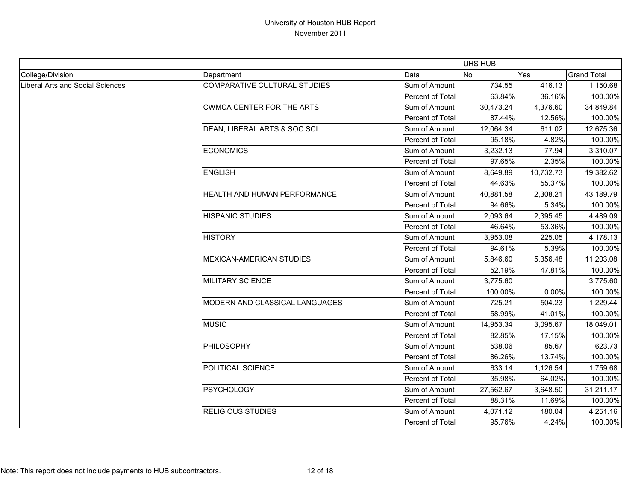|                                         |                                     |                  | UHS HUB    |            |                    |
|-----------------------------------------|-------------------------------------|------------------|------------|------------|--------------------|
| College/Division                        | Department                          | Data             | <b>INo</b> | <b>Yes</b> | <b>Grand Total</b> |
| <b>Liberal Arts and Social Sciences</b> | <b>COMPARATIVE CULTURAL STUDIES</b> | Sum of Amount    | 734.55     | 416.13     | 1,150.68           |
|                                         |                                     | Percent of Total | 63.84%     | 36.16%     | 100.00%            |
|                                         | <b>CWMCA CENTER FOR THE ARTS</b>    | Sum of Amount    | 30,473.24  | 4,376.60   | 34,849.84          |
|                                         |                                     | Percent of Total | 87.44%     | 12.56%     | 100.00%            |
|                                         | DEAN, LIBERAL ARTS & SOC SCI        | Sum of Amount    | 12,064.34  | 611.02     | 12,675.36          |
|                                         |                                     | Percent of Total | 95.18%     | 4.82%      | 100.00%            |
|                                         | <b>ECONOMICS</b>                    | Sum of Amount    | 3,232.13   | 77.94      | 3,310.07           |
|                                         |                                     | Percent of Total | 97.65%     | 2.35%      | 100.00%            |
|                                         | <b>ENGLISH</b>                      | Sum of Amount    | 8,649.89   | 10,732.73  | 19,382.62          |
|                                         |                                     | Percent of Total | 44.63%     | 55.37%     | 100.00%            |
|                                         | HEALTH AND HUMAN PERFORMANCE        | Sum of Amount    | 40,881.58  | 2,308.21   | 43,189.79          |
|                                         |                                     | Percent of Total | 94.66%     | 5.34%      | 100.00%            |
|                                         | <b>HISPANIC STUDIES</b>             | Sum of Amount    | 2,093.64   | 2,395.45   | 4,489.09           |
|                                         |                                     | Percent of Total | 46.64%     | 53.36%     | 100.00%            |
|                                         | <b>HISTORY</b>                      | Sum of Amount    | 3,953.08   | 225.05     | 4,178.13           |
|                                         |                                     | Percent of Total | 94.61%     | 5.39%      | 100.00%            |
|                                         | <b>MEXICAN-AMERICAN STUDIES</b>     | Sum of Amount    | 5,846.60   | 5,356.48   | 11,203.08          |
|                                         |                                     | Percent of Total | 52.19%     | 47.81%     | 100.00%            |
|                                         | <b>MILITARY SCIENCE</b>             | Sum of Amount    | 3,775.60   |            | 3,775.60           |
|                                         |                                     | Percent of Total | 100.00%    | 0.00%      | 100.00%            |
|                                         | MODERN AND CLASSICAL LANGUAGES      | Sum of Amount    | 725.21     | 504.23     | 1,229.44           |
|                                         |                                     | Percent of Total | 58.99%     | 41.01%     | 100.00%            |
|                                         | <b>MUSIC</b>                        | Sum of Amount    | 14,953.34  | 3,095.67   | 18,049.01          |
|                                         |                                     | Percent of Total | 82.85%     | 17.15%     | 100.00%            |
|                                         | PHILOSOPHY                          | Sum of Amount    | 538.06     | 85.67      | 623.73             |
|                                         |                                     | Percent of Total | 86.26%     | 13.74%     | 100.00%            |
|                                         | POLITICAL SCIENCE                   | Sum of Amount    | 633.14     | 1,126.54   | 1,759.68           |
|                                         |                                     | Percent of Total | 35.98%     | 64.02%     | 100.00%            |
|                                         | <b>PSYCHOLOGY</b>                   | Sum of Amount    | 27,562.67  | 3,648.50   | 31,211.17          |
|                                         |                                     | Percent of Total | 88.31%     | 11.69%     | 100.00%            |
|                                         | <b>RELIGIOUS STUDIES</b>            | Sum of Amount    | 4,071.12   | 180.04     | 4,251.16           |
|                                         |                                     | Percent of Total | 95.76%     | 4.24%      | 100.00%            |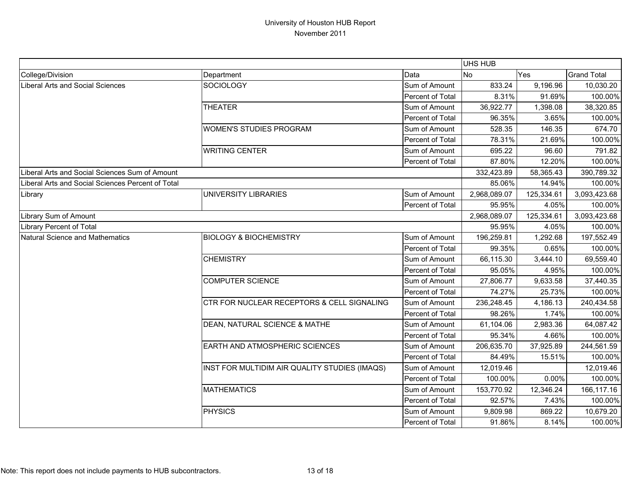|                                                   |                                               |                  | UHS HUB      |            |                    |
|---------------------------------------------------|-----------------------------------------------|------------------|--------------|------------|--------------------|
| College/Division                                  | Department                                    | Data             | No           | Yes        | <b>Grand Total</b> |
| Liberal Arts and Social Sciences                  | <b>SOCIOLOGY</b>                              | Sum of Amount    | 833.24       | 9,196.96   | 10,030.20          |
|                                                   |                                               | Percent of Total | 8.31%        | 91.69%     | 100.00%            |
|                                                   | <b>THEATER</b>                                | Sum of Amount    | 36,922.77    | 1,398.08   | 38,320.85          |
|                                                   |                                               | Percent of Total | 96.35%       | 3.65%      | 100.00%            |
|                                                   | <b>WOMEN'S STUDIES PROGRAM</b>                | Sum of Amount    | 528.35       | 146.35     | 674.70             |
|                                                   |                                               | Percent of Total | 78.31%       | 21.69%     | 100.00%            |
|                                                   | <b>WRITING CENTER</b>                         | Sum of Amount    | 695.22       | 96.60      | 791.82             |
|                                                   |                                               | Percent of Total | 87.80%       | 12.20%     | 100.00%            |
| Liberal Arts and Social Sciences Sum of Amount    |                                               |                  | 332,423.89   | 58,365.43  | 390,789.32         |
| Liberal Arts and Social Sciences Percent of Total |                                               |                  | 85.06%       | 14.94%     | 100.00%            |
| Library                                           | UNIVERSITY LIBRARIES                          | Sum of Amount    | 2,968,089.07 | 125,334.61 | 3,093,423.68       |
|                                                   |                                               | Percent of Total | 95.95%       | 4.05%      | 100.00%            |
| Library Sum of Amount                             |                                               |                  | 2,968,089.07 | 125,334.61 | 3,093,423.68       |
| <b>Library Percent of Total</b>                   |                                               |                  | 95.95%       | 4.05%      | 100.00%            |
| Natural Science and Mathematics                   | <b>BIOLOGY &amp; BIOCHEMISTRY</b>             | Sum of Amount    | 196,259.81   | 1,292.68   | 197,552.49         |
|                                                   |                                               | Percent of Total | 99.35%       | 0.65%      | 100.00%            |
|                                                   | <b>CHEMISTRY</b>                              | Sum of Amount    | 66,115.30    | 3,444.10   | 69,559.40          |
|                                                   |                                               | Percent of Total | 95.05%       | 4.95%      | 100.00%            |
|                                                   | <b>COMPUTER SCIENCE</b>                       | Sum of Amount    | 27,806.77    | 9,633.58   | 37,440.35          |
|                                                   |                                               | Percent of Total | 74.27%       | 25.73%     | 100.00%            |
|                                                   | CTR FOR NUCLEAR RECEPTORS & CELL SIGNALING    | Sum of Amount    | 236,248.45   | 4,186.13   | 240,434.58         |
|                                                   |                                               | Percent of Total | 98.26%       | 1.74%      | 100.00%            |
|                                                   | DEAN, NATURAL SCIENCE & MATHE                 | Sum of Amount    | 61,104.06    | 2,983.36   | 64,087.42          |
|                                                   |                                               | Percent of Total | 95.34%       | 4.66%      | 100.00%            |
|                                                   | EARTH AND ATMOSPHERIC SCIENCES                | Sum of Amount    | 206,635.70   | 37,925.89  | 244,561.59         |
|                                                   |                                               | Percent of Total | 84.49%       | 15.51%     | 100.00%            |
|                                                   | INST FOR MULTIDIM AIR QUALITY STUDIES (IMAQS) | Sum of Amount    | 12,019.46    |            | 12,019.46          |
|                                                   |                                               | Percent of Total | 100.00%      | 0.00%      | 100.00%            |
|                                                   | <b>MATHEMATICS</b>                            | Sum of Amount    | 153,770.92   | 12,346.24  | 166,117.16         |
|                                                   |                                               | Percent of Total | 92.57%       | 7.43%      | 100.00%            |
|                                                   | <b>PHYSICS</b>                                | Sum of Amount    | 9,809.98     | 869.22     | 10,679.20          |
|                                                   |                                               | Percent of Total | 91.86%       | 8.14%      | 100.00%            |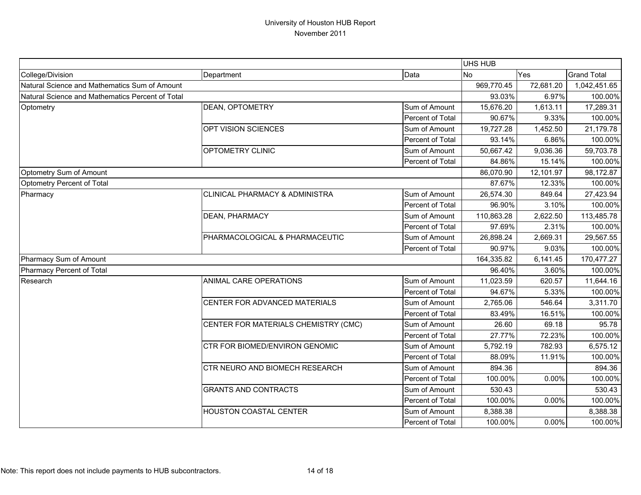|                                                  |                                           |                  | UHS HUB    |              |                    |
|--------------------------------------------------|-------------------------------------------|------------------|------------|--------------|--------------------|
| College/Division                                 | Department                                | Data             | <b>No</b>  | Yes          | <b>Grand Total</b> |
| Natural Science and Mathematics Sum of Amount    |                                           | 969,770.45       | 72,681.20  | 1,042,451.65 |                    |
| Natural Science and Mathematics Percent of Total |                                           | 93.03%           | 6.97%      | 100.00%      |                    |
| Optometry                                        | DEAN, OPTOMETRY                           | Sum of Amount    | 15,676.20  | 1,613.11     | 17,289.31          |
|                                                  |                                           | Percent of Total | 90.67%     | 9.33%        | 100.00%            |
|                                                  | OPT VISION SCIENCES                       | Sum of Amount    | 19,727.28  | 1,452.50     | 21,179.78          |
|                                                  |                                           | Percent of Total | 93.14%     | 6.86%        | 100.00%            |
|                                                  | OPTOMETRY CLINIC                          | Sum of Amount    | 50,667.42  | 9,036.36     | 59,703.78          |
|                                                  |                                           | Percent of Total | 84.86%     | 15.14%       | 100.00%            |
| Optometry Sum of Amount                          |                                           |                  | 86,070.90  | 12,101.97    | 98,172.87          |
| Optometry Percent of Total                       |                                           |                  | 87.67%     | 12.33%       | 100.00%            |
| Pharmacy                                         | <b>CLINICAL PHARMACY &amp; ADMINISTRA</b> | Sum of Amount    | 26,574.30  | 849.64       | 27,423.94          |
|                                                  |                                           | Percent of Total | 96.90%     | 3.10%        | 100.00%            |
|                                                  | <b>DEAN, PHARMACY</b>                     | Sum of Amount    | 110,863.28 | 2,622.50     | 113,485.78         |
|                                                  |                                           | Percent of Total | 97.69%     | 2.31%        | 100.00%            |
|                                                  | PHARMACOLOGICAL & PHARMACEUTIC            | Sum of Amount    | 26,898.24  | 2,669.31     | 29,567.55          |
|                                                  |                                           | Percent of Total | 90.97%     | 9.03%        | 100.00%            |
| Pharmacy Sum of Amount                           |                                           |                  | 164,335.82 | 6,141.45     | 170,477.27         |
| Pharmacy Percent of Total                        |                                           |                  | 96.40%     | 3.60%        | 100.00%            |
| Research                                         | ANIMAL CARE OPERATIONS                    | Sum of Amount    | 11,023.59  | 620.57       | 11,644.16          |
|                                                  |                                           | Percent of Total | 94.67%     | 5.33%        | 100.00%            |
|                                                  | CENTER FOR ADVANCED MATERIALS             | Sum of Amount    | 2,765.06   | 546.64       | 3,311.70           |
|                                                  |                                           | Percent of Total | 83.49%     | 16.51%       | 100.00%            |
|                                                  | CENTER FOR MATERIALS CHEMISTRY (CMC)      | Sum of Amount    | 26.60      | 69.18        | 95.78              |
|                                                  |                                           | Percent of Total | 27.77%     | 72.23%       | 100.00%            |
|                                                  | CTR FOR BIOMED/ENVIRON GENOMIC            | Sum of Amount    | 5,792.19   | 782.93       | 6,575.12           |
|                                                  |                                           | Percent of Total | 88.09%     | 11.91%       | 100.00%            |
|                                                  | CTR NEURO AND BIOMECH RESEARCH            | Sum of Amount    | 894.36     |              | 894.36             |
|                                                  |                                           | Percent of Total | 100.00%    | 0.00%        | 100.00%            |
|                                                  | <b>GRANTS AND CONTRACTS</b>               | Sum of Amount    | 530.43     |              | 530.43             |
|                                                  |                                           | Percent of Total | 100.00%    | 0.00%        | 100.00%            |
|                                                  | <b>HOUSTON COASTAL CENTER</b>             | Sum of Amount    | 8,388.38   |              | 8,388.38           |
|                                                  |                                           | Percent of Total | 100.00%    | 0.00%        | 100.00%            |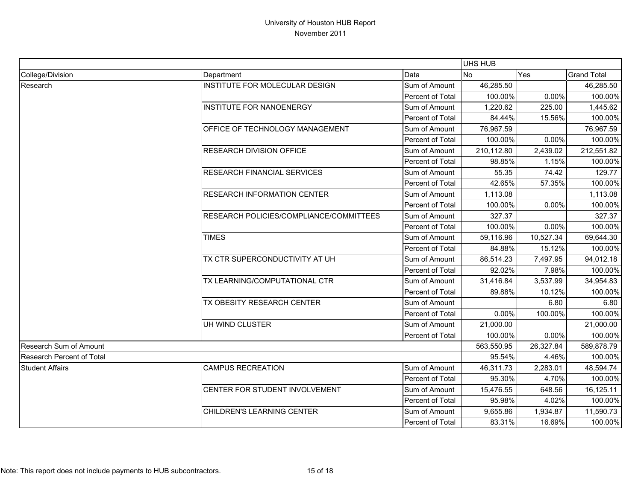|                                  |                                         |                  | <b>UHS HUB</b> |           |                    |
|----------------------------------|-----------------------------------------|------------------|----------------|-----------|--------------------|
| College/Division                 | Department                              | Data             | No             | Yes       | <b>Grand Total</b> |
| Research                         | INSTITUTE FOR MOLECULAR DESIGN          | Sum of Amount    | 46,285.50      |           | 46,285.50          |
|                                  |                                         | Percent of Total | 100.00%        | 0.00%     | 100.00%            |
|                                  | <b>INSTITUTE FOR NANOENERGY</b>         | Sum of Amount    | 1,220.62       | 225.00    | 1,445.62           |
|                                  |                                         | Percent of Total | 84.44%         | 15.56%    | 100.00%            |
|                                  | OFFICE OF TECHNOLOGY MANAGEMENT         | Sum of Amount    | 76,967.59      |           | 76,967.59          |
|                                  |                                         | Percent of Total | 100.00%        | 0.00%     | 100.00%            |
|                                  | <b>RESEARCH DIVISION OFFICE</b>         | Sum of Amount    | 210,112.80     | 2,439.02  | 212,551.82         |
|                                  |                                         | Percent of Total | 98.85%         | 1.15%     | 100.00%            |
|                                  | <b>RESEARCH FINANCIAL SERVICES</b>      | Sum of Amount    | 55.35          | 74.42     | 129.77             |
|                                  |                                         | Percent of Total | 42.65%         | 57.35%    | 100.00%            |
|                                  | <b>RESEARCH INFORMATION CENTER</b>      | Sum of Amount    | 1,113.08       |           | 1,113.08           |
|                                  |                                         | Percent of Total | 100.00%        | 0.00%     | 100.00%            |
|                                  | RESEARCH POLICIES/COMPLIANCE/COMMITTEES | Sum of Amount    | 327.37         |           | 327.37             |
|                                  |                                         | Percent of Total | 100.00%        | 0.00%     | 100.00%            |
|                                  | <b>TIMES</b>                            | Sum of Amount    | 59,116.96      | 10,527.34 | 69,644.30          |
|                                  |                                         | Percent of Total | 84.88%         | 15.12%    | 100.00%            |
|                                  | TX CTR SUPERCONDUCTIVITY AT UH          | Sum of Amount    | 86,514.23      | 7,497.95  | 94,012.18          |
|                                  |                                         | Percent of Total | 92.02%         | 7.98%     | 100.00%            |
|                                  | TX LEARNING/COMPUTATIONAL CTR           | Sum of Amount    | 31,416.84      | 3,537.99  | 34,954.83          |
|                                  |                                         | Percent of Total | 89.88%         | 10.12%    | 100.00%            |
|                                  | TX OBESITY RESEARCH CENTER              | Sum of Amount    |                | 6.80      | 6.80               |
|                                  |                                         | Percent of Total | 0.00%          | 100.00%   | 100.00%            |
|                                  | UH WIND CLUSTER                         | Sum of Amount    | 21,000.00      |           | 21,000.00          |
|                                  |                                         | Percent of Total | 100.00%        | 0.00%     | 100.00%            |
| Research Sum of Amount           |                                         |                  | 563,550.95     | 26,327.84 | 589,878.79         |
| <b>Research Percent of Total</b> |                                         |                  | 95.54%         | 4.46%     | 100.00%            |
| <b>Student Affairs</b>           | <b>CAMPUS RECREATION</b>                | Sum of Amount    | 46,311.73      | 2,283.01  | 48,594.74          |
|                                  |                                         | Percent of Total | 95.30%         | 4.70%     | 100.00%            |
|                                  | CENTER FOR STUDENT INVOLVEMENT          | Sum of Amount    | 15,476.55      | 648.56    | 16,125.11          |
|                                  |                                         | Percent of Total | 95.98%         | 4.02%     | 100.00%            |
|                                  | CHILDREN'S LEARNING CENTER              | Sum of Amount    | 9,655.86       | 1,934.87  | 11,590.73          |
|                                  |                                         | Percent of Total | 83.31%         | 16.69%    | 100.00%            |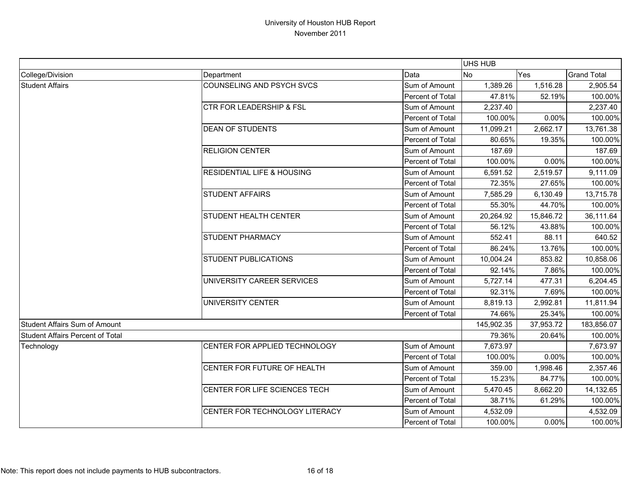|                                  |                                       |                  | <b>UHS HUB</b> |           |                    |
|----------------------------------|---------------------------------------|------------------|----------------|-----------|--------------------|
| College/Division                 | Department                            | Data             | No             | Yes       | <b>Grand Total</b> |
| <b>Student Affairs</b>           | COUNSELING AND PSYCH SVCS             | Sum of Amount    | 1,389.26       | 1,516.28  | 2,905.54           |
|                                  |                                       | Percent of Total | 47.81%         | 52.19%    | 100.00%            |
|                                  | CTR FOR LEADERSHIP & FSL              | Sum of Amount    | 2,237.40       |           | 2,237.40           |
|                                  |                                       | Percent of Total | 100.00%        | 0.00%     | 100.00%            |
|                                  | <b>DEAN OF STUDENTS</b>               | Sum of Amount    | 11,099.21      | 2,662.17  | 13,761.38          |
|                                  |                                       | Percent of Total | 80.65%         | 19.35%    | 100.00%            |
|                                  | <b>RELIGION CENTER</b>                | Sum of Amount    | 187.69         |           | 187.69             |
|                                  |                                       | Percent of Total | 100.00%        | 0.00%     | 100.00%            |
|                                  | <b>RESIDENTIAL LIFE &amp; HOUSING</b> | Sum of Amount    | 6,591.52       | 2,519.57  | 9,111.09           |
|                                  |                                       | Percent of Total | 72.35%         | 27.65%    | 100.00%            |
|                                  | <b>STUDENT AFFAIRS</b>                | Sum of Amount    | 7,585.29       | 6,130.49  | 13,715.78          |
|                                  |                                       | Percent of Total | 55.30%         | 44.70%    | 100.00%            |
|                                  | STUDENT HEALTH CENTER                 | Sum of Amount    | 20,264.92      | 15,846.72 | 36,111.64          |
|                                  |                                       | Percent of Total | 56.12%         | 43.88%    | 100.00%            |
|                                  | STUDENT PHARMACY                      | Sum of Amount    | 552.41         | 88.11     | 640.52             |
|                                  |                                       | Percent of Total | 86.24%         | 13.76%    | 100.00%            |
|                                  | <b>STUDENT PUBLICATIONS</b>           | Sum of Amount    | 10,004.24      | 853.82    | 10,858.06          |
|                                  |                                       | Percent of Total | 92.14%         | 7.86%     | 100.00%            |
|                                  | UNIVERSITY CAREER SERVICES            | Sum of Amount    | 5,727.14       | 477.31    | 6,204.45           |
|                                  |                                       | Percent of Total | 92.31%         | 7.69%     | 100.00%            |
|                                  | <b>UNIVERSITY CENTER</b>              | Sum of Amount    | 8,819.13       | 2,992.81  | 11,811.94          |
|                                  |                                       | Percent of Total | 74.66%         | 25.34%    | 100.00%            |
| Student Affairs Sum of Amount    |                                       |                  | 145,902.35     | 37,953.72 | 183,856.07         |
| Student Affairs Percent of Total |                                       |                  | 79.36%         | 20.64%    | 100.00%            |
| Technology                       | CENTER FOR APPLIED TECHNOLOGY         | Sum of Amount    | 7,673.97       |           | 7,673.97           |
|                                  |                                       | Percent of Total | 100.00%        | 0.00%     | 100.00%            |
|                                  | CENTER FOR FUTURE OF HEALTH           | Sum of Amount    | 359.00         | 1,998.46  | 2,357.46           |
|                                  |                                       | Percent of Total | 15.23%         | 84.77%    | 100.00%            |
|                                  | CENTER FOR LIFE SCIENCES TECH         | Sum of Amount    | 5,470.45       | 8,662.20  | 14,132.65          |
|                                  |                                       | Percent of Total | 38.71%         | 61.29%    | 100.00%            |
|                                  | CENTER FOR TECHNOLOGY LITERACY        | Sum of Amount    | 4,532.09       |           | 4,532.09           |
|                                  |                                       | Percent of Total | 100.00%        | 0.00%     | 100.00%            |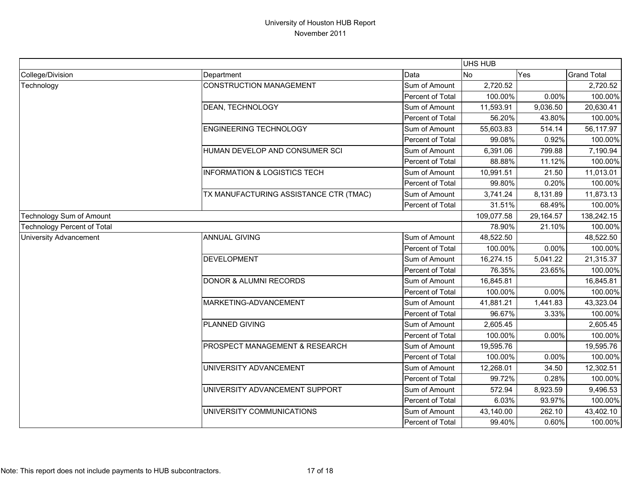|                                    |                                         |                  | UHS HUB    |           |                    |
|------------------------------------|-----------------------------------------|------------------|------------|-----------|--------------------|
| College/Division                   | Department                              | Data             | <b>No</b>  | Yes       | <b>Grand Total</b> |
| Technology                         | <b>CONSTRUCTION MANAGEMENT</b>          | Sum of Amount    | 2,720.52   |           | 2,720.52           |
|                                    |                                         | Percent of Total | 100.00%    | 0.00%     | 100.00%            |
|                                    | DEAN, TECHNOLOGY                        | Sum of Amount    | 11,593.91  | 9,036.50  | 20,630.41          |
|                                    |                                         | Percent of Total | 56.20%     | 43.80%    | 100.00%            |
|                                    | <b>ENGINEERING TECHNOLOGY</b>           | Sum of Amount    | 55,603.83  | 514.14    | 56,117.97          |
|                                    |                                         | Percent of Total | 99.08%     | 0.92%     | 100.00%            |
|                                    | HUMAN DEVELOP AND CONSUMER SCI          | Sum of Amount    | 6,391.06   | 799.88    | 7,190.94           |
|                                    |                                         | Percent of Total | 88.88%     | 11.12%    | 100.00%            |
|                                    | <b>INFORMATION &amp; LOGISTICS TECH</b> | Sum of Amount    | 10,991.51  | 21.50     | 11,013.01          |
|                                    |                                         | Percent of Total | 99.80%     | 0.20%     | 100.00%            |
|                                    | TX MANUFACTURING ASSISTANCE CTR (TMAC)  | Sum of Amount    | 3,741.24   | 8,131.89  | 11,873.13          |
|                                    |                                         | Percent of Total | 31.51%     | 68.49%    | 100.00%            |
| Technology Sum of Amount           |                                         |                  | 109,077.58 | 29,164.57 | 138,242.15         |
| <b>Technology Percent of Total</b> |                                         |                  | 78.90%     | 21.10%    | 100.00%            |
| <b>University Advancement</b>      | <b>ANNUAL GIVING</b>                    | Sum of Amount    | 48,522.50  |           | 48,522.50          |
|                                    |                                         | Percent of Total | 100.00%    | 0.00%     | 100.00%            |
|                                    | <b>DEVELOPMENT</b>                      | Sum of Amount    | 16,274.15  | 5,041.22  | 21,315.37          |
|                                    |                                         | Percent of Total | 76.35%     | 23.65%    | 100.00%            |
|                                    | <b>DONOR &amp; ALUMNI RECORDS</b>       | Sum of Amount    | 16,845.81  |           | 16,845.81          |
|                                    |                                         | Percent of Total | 100.00%    | 0.00%     | 100.00%            |
|                                    | MARKETING-ADVANCEMENT                   | Sum of Amount    | 41,881.21  | 1,441.83  | 43,323.04          |
|                                    |                                         | Percent of Total | 96.67%     | 3.33%     | 100.00%            |
|                                    | PLANNED GIVING                          | Sum of Amount    | 2,605.45   |           | 2,605.45           |
|                                    |                                         | Percent of Total | 100.00%    | 0.00%     | 100.00%            |
|                                    | PROSPECT MANAGEMENT & RESEARCH          | Sum of Amount    | 19,595.76  |           | 19,595.76          |
|                                    |                                         | Percent of Total | 100.00%    | 0.00%     | 100.00%            |
|                                    | UNIVERSITY ADVANCEMENT                  | Sum of Amount    | 12,268.01  | 34.50     | 12,302.51          |
|                                    |                                         | Percent of Total | 99.72%     | 0.28%     | 100.00%            |
|                                    | UNIVERSITY ADVANCEMENT SUPPORT          | Sum of Amount    | 572.94     | 8,923.59  | 9,496.53           |
|                                    |                                         | Percent of Total | 6.03%      | 93.97%    | 100.00%            |
|                                    | UNIVERSITY COMMUNICATIONS               | Sum of Amount    | 43,140.00  | 262.10    | 43,402.10          |
|                                    |                                         | Percent of Total | 99.40%     | 0.60%     | 100.00%            |